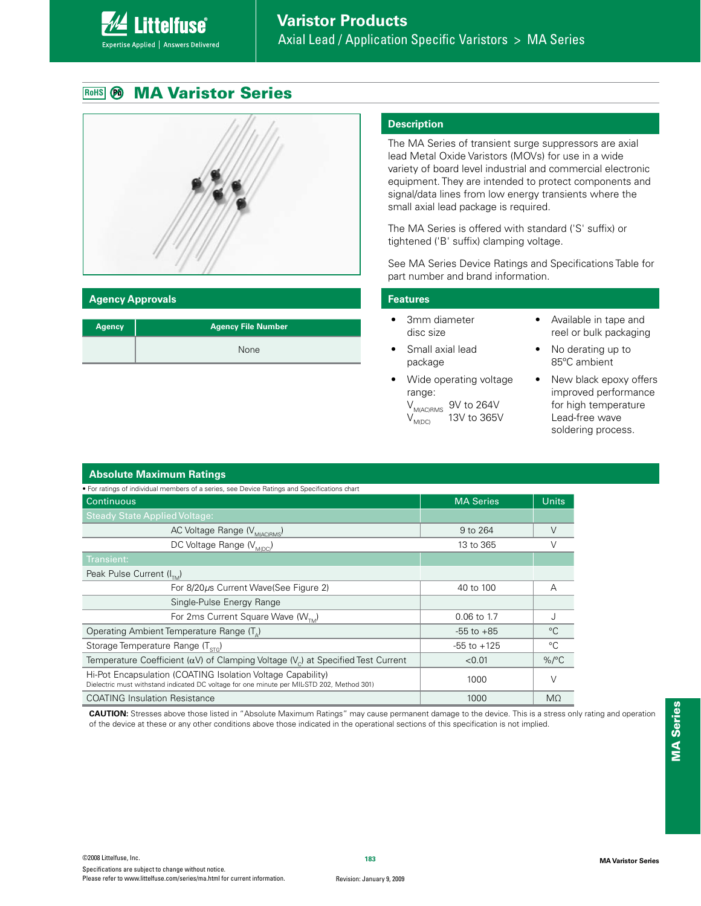# **RoHS MA Varistor Series**

**ittelfuse** 

Expertise Applied | Answers Delivered



#### **Agency Approvals**

| Agency | <b>Agency File Number</b> |
|--------|---------------------------|
|        | None                      |

#### **Description**

The MA Series of transient surge suppressors are axial lead Metal Oxide Varistors (MOVs) for use in a wide variety of board level industrial and commercial electronic equipment. They are intended to protect components and signal/data lines from low energy transients where the small axial lead package is required.

The MA Series is offered with standard ('S' suffix) or tightened ('B' suffix) clamping voltage.

See MA Series Device Ratings and Specifications Table for part number and brand information.

#### **Features**

- 3mm diameter disc size
- Small axial lead package
- Wide operating voltage range:

 $V_{M(AC)RMS}$  9V to 264V<br> $V_{M(DC)}$  13V to 365V 13V to 365V

- Available in tape and reel or bulk packaging
- $\bullet$  No derating up to 85ºC ambient
- New black epoxy offers improved performance for high temperature Lead-free wave soldering process.

| <b>Absolute Maximum Ratings</b>                                                                                                                           |                  |              |  |  |  |
|-----------------------------------------------------------------------------------------------------------------------------------------------------------|------------------|--------------|--|--|--|
| • For ratings of individual members of a series, see Device Ratings and Specifications chart                                                              |                  |              |  |  |  |
| Continuous                                                                                                                                                | <b>MA Series</b> | <b>Units</b> |  |  |  |
| <b>Steady State Applied Voltage:</b>                                                                                                                      |                  |              |  |  |  |
| AC Voltage Range (V <sub>M(AC)RMS</sub> )                                                                                                                 | 9 to 264         | V            |  |  |  |
| DC Voltage Range (V <sub>MIDC)</sub>                                                                                                                      | 13 to 365        |              |  |  |  |
| Transient:                                                                                                                                                |                  |              |  |  |  |
| Peak Pulse Current $(I_{\tau_{M}})$                                                                                                                       |                  |              |  |  |  |
| For 8/20µs Current Wave(See Figure 2)                                                                                                                     | 40 to 100        | А            |  |  |  |
| Single-Pulse Energy Range                                                                                                                                 |                  |              |  |  |  |
| For 2ms Current Square Wave ( $W_{T_M}$ )                                                                                                                 | 0.06 to 1.7      |              |  |  |  |
| Operating Ambient Temperature Range (T <sub>a</sub> )                                                                                                     | $-55$ to $+85$   | $^{\circ}C$  |  |  |  |
| Storage Temperature Range $(T_{\rm src})$                                                                                                                 | $-55$ to $+125$  | °C           |  |  |  |
| Temperature Coefficient ( $\alpha V$ ) of Clamping Voltage ( $V_c$ ) at Specified Test Current                                                            | < 0.01           | $\%$ /°C     |  |  |  |
| Hi-Pot Encapsulation (COATING Isolation Voltage Capability)<br>Dielectric must withstand indicated DC voltage for one minute per MIL-STD 202, Method 301) | 1000             | ν            |  |  |  |
| <b>COATING Insulation Resistance</b>                                                                                                                      | 1000             | $M\Omega$    |  |  |  |

**CAUTION:** Stresses above those listed in "Absolute Maximum Ratings" may cause permanent damage to the device. This is a stress only rating and operation of the device at these or any other conditions above those indicated in the operational sections of this specification is not implied.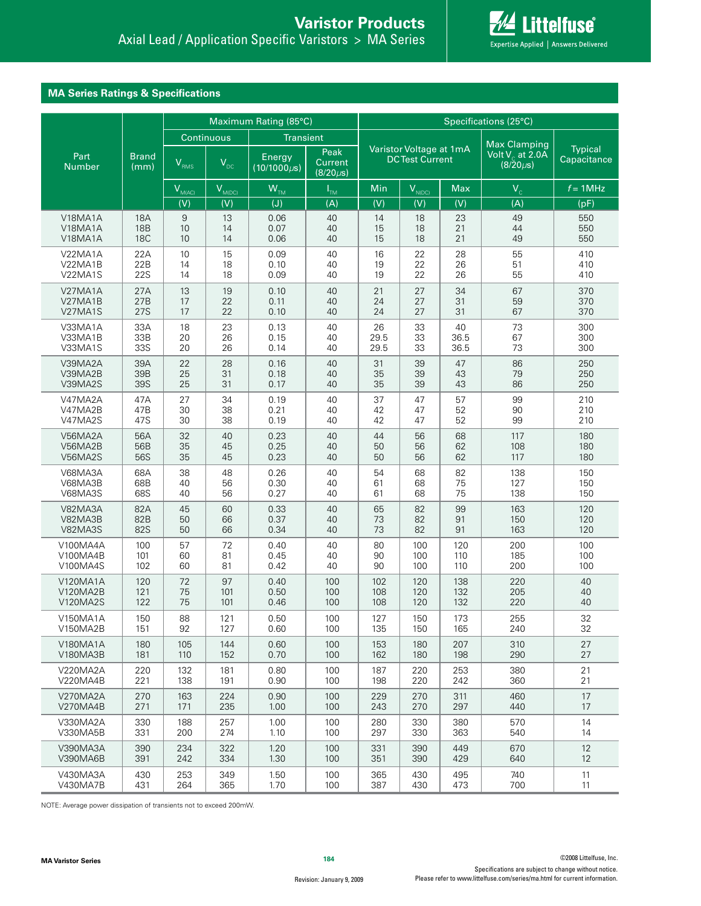

# **MA Series Ratings & Specifications**

|                       |                      | Maximum Rating (85°C) |                 |                             |                                   |                         | Specifications (25°C) |            |                                      |                |
|-----------------------|----------------------|-----------------------|-----------------|-----------------------------|-----------------------------------|-------------------------|-----------------------|------------|--------------------------------------|----------------|
|                       |                      | Continuous            |                 | <b>Transient</b>            |                                   | Varistor Voltage at 1mA |                       |            | <b>Max Clamping</b>                  | <b>Typical</b> |
| Part<br><b>Number</b> | <b>Brand</b><br>(mm) | $V_{RMS}$             | V <sub>DC</sub> | Energy<br>$(10/1000 \mu s)$ | Peak<br>Current<br>$(8/20 \mu s)$ |                         | <b>DCTest Current</b> |            | Volt $V_c$ at 2.0A<br>$(8/20 \mu s)$ | Capacitance    |
|                       |                      | $V_{M(AC)}$           | $V_{M(DC)}$     | $W_{TM}$                    | $I_{TM}$                          | Min                     | $V_{N(DC)}$           | <b>Max</b> | $V_c$                                | $f = 1$ MHz    |
|                       |                      | (V)                   | (V)             | (J)                         | (A)                               | (V)                     | (V)                   | (V)        | (A)                                  | (pF)           |
| V18MA1A               | <b>18A</b>           | 9                     | 13              | 0.06                        | 40                                | 14                      | 18                    | 23         | 49                                   | 550            |
| V18MA1A               | <b>18B</b>           | 10                    | 14              | 0.07                        | 40                                | 15                      | 18                    | 21         | 44                                   | 550            |
| V18MA1A               | <b>18C</b>           | 10                    | 14              | 0.06                        | 40                                | 15                      | 18                    | 21         | 49                                   | 550            |
| V22MA1A               | 22A                  | 10                    | 15              | 0.09                        | 40                                | 16                      | 22                    | 28         | 55                                   | 410            |
| V22MA1B               | 22B                  | 14                    | 18              | 0.10                        | 40                                | 19                      | 22                    | 26         | 51                                   | 410            |
| V22MA1S               | 22S                  | 14                    | 18              | 0.09                        | 40                                | 19                      | 22                    | 26         | 55                                   | 410            |
| V27MA1A               | 27A                  | 13                    | 19              | 0.10                        | 40                                | 21                      | 27                    | 34         | 67                                   | 370            |
| V27MA1B               | 27B                  | 17                    | 22              | 0.11                        | 40                                | 24                      | 27                    | 31         | 59                                   | 370            |
| V27MA1S               | <b>27S</b>           | 17                    | 22              | 0.10                        | 40                                | 24                      | 27                    | 31         | 67                                   | 370            |
| V33MA1A               | 33A                  | 18                    | 23              | 0.13                        | 40                                | 26                      | 33                    | 40         | 73                                   | 300            |
| V33MA1B               | 33B                  | 20                    | 26              | 0.15                        | 40                                | 29.5                    | 33                    | 36.5       | 67                                   | 300            |
| V33MA1S               | 33S                  | 20                    | 26              | 0.14                        | 40                                | 29.5                    | 33                    | 36.5       | 73                                   | 300            |
| V39MA2A               | 39A                  | 22                    | 28              | 0.16                        | 40                                | 31                      | 39                    | 47         | 86                                   | 250            |
| V39MA2B               | 39B                  | 25                    | 31              | 0.18                        | 40                                | 35                      | 39                    | 43         | 79                                   | 250            |
| V39MA2S               | <b>39S</b>           | 25                    | 31              | 0.17                        | 40                                | 35                      | 39                    | 43         | 86                                   | 250            |
| V47MA2A               | 47A                  | 27                    | 34              | 0.19                        | 40                                | 37                      | 47                    | 57         | 99                                   | 210            |
| V47MA2B               | 47B                  | 30                    | 38              | 0.21                        | 40                                | 42                      | 47                    | 52         | 90                                   | 210            |
| V47MA2S               | 47S                  | 30                    | 38              | 0.19                        | 40                                | 42                      | 47                    | 52         | 99                                   | 210            |
| V56MA2A               | 56A                  | 32                    | 40              | 0.23                        | 40                                | 44                      | 56                    | 68         | 117                                  | 180            |
| V56MA2B               | 56B                  | 35                    | 45              | 0.25                        | 40                                | 50                      | 56                    | 62         | 108                                  | 180            |
| V56MA2S               | 56S                  | 35                    | 45              | 0.23                        | 40                                | 50                      | 56                    | 62         | 117                                  | 180            |
| V68MA3A               | 68A                  | 38                    | 48              | 0.26                        | 40                                | 54                      | 68                    | 82         | 138                                  | 150            |
| V68MA3B               | 68B                  | 40                    | 56              | 0.30                        | 40                                | 61                      | 68                    | 75         | 127                                  | 150            |
| <b>V68MA3S</b>        | 68S                  | 40                    | 56              | 0.27                        | 40                                | 61                      | 68                    | 75         | 138                                  | 150            |
| V82MA3A               | 82A                  | 45                    | 60              | 0.33                        | 40                                | 65                      | 82                    | 99         | 163                                  | 120            |
| V82MA3B               | 82B                  | 50                    | 66              | 0.37                        | 40                                | 73                      | 82                    | 91         | 150                                  | 120            |
| V82MA3S               | <b>82S</b>           | 50                    | 66              | 0.34                        | 40                                | 73                      | 82                    | 91         | 163                                  | 120            |
| V100MA4A              | 100                  | 57                    | 72              | 0.40                        | 40                                | 80                      | 100                   | 120        | 200                                  | 100            |
| V100MA4B              | 101                  | 60                    | 81              | 0.45                        | 40                                | 90                      | 100                   | 110        | 185                                  | 100            |
| V100MA4S              | 102                  | 60                    | 81              | 0.42                        | 40                                | 90                      | 100                   | 110        | 200                                  | 100            |
| V120MA1A              | 120                  | 72                    | 97              | 0.40                        | 100                               | 102                     | 120                   | 138        | 220                                  | 40             |
| V120MA2B              | 121                  | 75                    | 101             | 0.50                        | 100                               | 108                     | 120                   | 132        | 205                                  | 40             |
| V120MA2S              | 122                  | 75                    | 101             | 0.46                        | 100                               | 108                     | 120                   | 132        | 220                                  | 40             |
| V150MA1A              | 150                  | 88                    | 121             | 0.50                        | 100                               | 127                     | 150                   | 173        | 255                                  | 32             |
| V150MA2B              | 151                  | 92                    | 127             | 0.60                        | 100                               | 135                     | 150                   | 165        | 240                                  | 32             |
| V180MA1A              | 180                  | 105                   | 144             | 0.60                        | 100                               | 153                     | 180                   | 207        | 310                                  | 27             |
| V180MA3B              | 181                  | 110                   | 152             | 0.70                        | 100                               | 162                     | 180                   | 198        | 290                                  | 27             |
| V220MA2A              | 220                  | 132                   | 181             | 0.80                        | 100                               | 187                     | 220                   | 253        | 380                                  | 21             |
| V220MA4B              | 221                  | 138                   | 191             | 0.90                        | 100                               | 198                     | 220                   | 242        | 360                                  | 21             |
| V270MA2A              | 270                  | 163                   | 224             | 0.90                        | 100                               | 229                     | 270                   | 311        | 460                                  | 17             |
| V270MA4B              | 271                  | 171                   | 235             | 1.00                        | 100                               | 243                     | 270                   | 297        | 440                                  | 17             |
| V330MA2A              | 330                  | 188                   | 257             | 1.00                        | 100                               | 280                     | 330                   | 380        | 570                                  | 14             |
| V330MA5B              | 331                  | 200                   | 274             | 1.10                        | 100                               | 297                     | 330                   | 363        | 540                                  | 14             |
| V390MA3A              | 390                  | 234                   | 322             | 1.20                        | 100                               | 331                     | 390                   | 449        | 670                                  | 12             |
| V390MA6B              | 391                  | 242                   | 334             | 1.30                        | 100                               | 351                     | 390                   | 429        | 640                                  | 12             |
| V430MA3A              | 430                  | 253                   | 349             | 1.50                        | 100                               | 365                     | 430                   | 495        | 740                                  | 11             |
| V430MA7B              | 431                  | 264                   | 365             | 1.70                        | 100                               | 387                     | 430                   | 473        | 700                                  | 11             |

NOTE: Average power dissipation of transients not to exceed 200mW.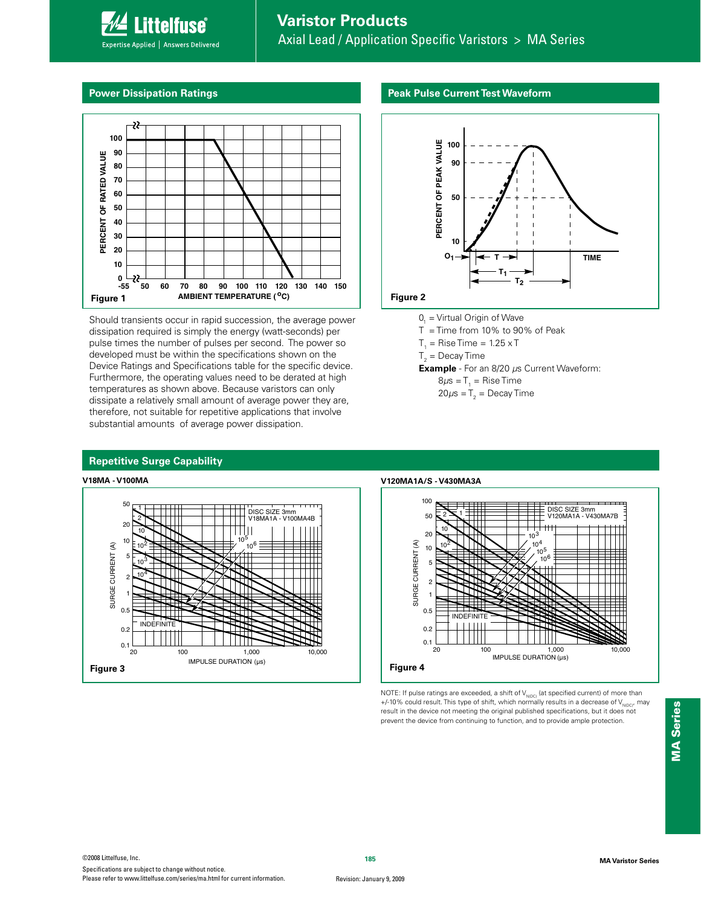# **Varistor Products**

Axial Lead / Application Specific Varistors > MA Series

#### **Power Dissipation Ratings**

**Littelfuse**® Expertise Applied | Answers Delivered



Should transients occur in rapid succession, the average power dissipation required is simply the energy (watt-seconds) per pulse times the number of pulses per second. The power so developed must be within the specifications shown on the Device Ratings and Specifications table for the specific device. Furthermore, the operating values need to be derated at high temperatures as shown above. Because varistors can only dissipate a relatively small amount of average power they are, therefore, not suitable for repetitive applications that involve substantial amounts of average power dissipation.

#### **Peak Pulse Current Test Waveform**



- $O_1$  = Virtual Origin of Wave
- $T =$  Time from 10% to 90% of Peak
- $T_1$  = Rise Time = 1.25 x T
- ${\sf T}_2^{}$  = Decay Time

**V120MA1A/S - V430MA3A**

- **Example**  For an 8/20 μs Current Waveform:
	- 8 $\mu$ s = T $_{1}$  = Rise Time
	- 20 $\mu$ s = T $_{_2}$  = Decay Time

#### **Repetitive Surge Capability**

### **V18MA - V100MA**



100 DISC SIZE 3mm V120MA1A - V430MA7B 1 50 2 10 20  $10$ 10<sup>4</sup> SURGE CURRENT (A) SURGE CURRENT (A) 10<sup>2</sup> 10 10<sup>5</sup> 10<sup>6</sup> 5 2 1 0.5 **NDEFINIT**  $1111$ 0.2  $0.1 \over 20$ 20 100 1,000 1,000 10,000<br>IMPULSE DURATION (μs)

NOTE: If pulse ratings are exceeded, a shift of  $\mathsf{V}_{\mathsf{NDC}}$  (at specified current) of more than +/-10% could result. This type of shift, which normally results in a decrease of  $V_{N\mid DCI}$ , may result in the device not meeting the original published specifications, but it does not prevent the device from continuing to function, and to provide ample protection.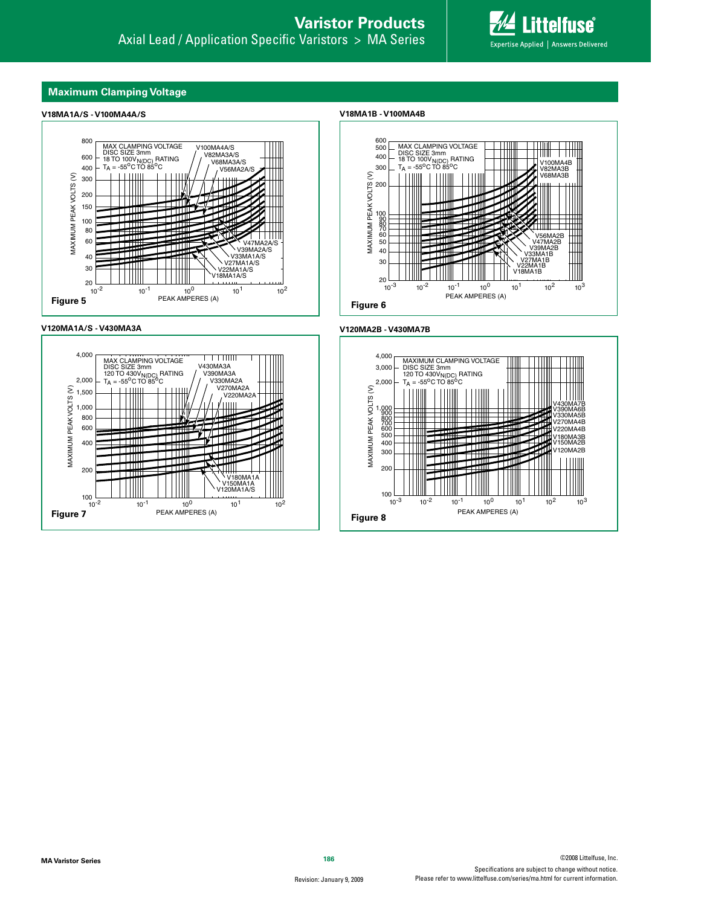#### **Maximum Clamping Voltage**

#### **V18MA1A/S - V100MA4A/S**







**V18MA1B - V100MA4B**